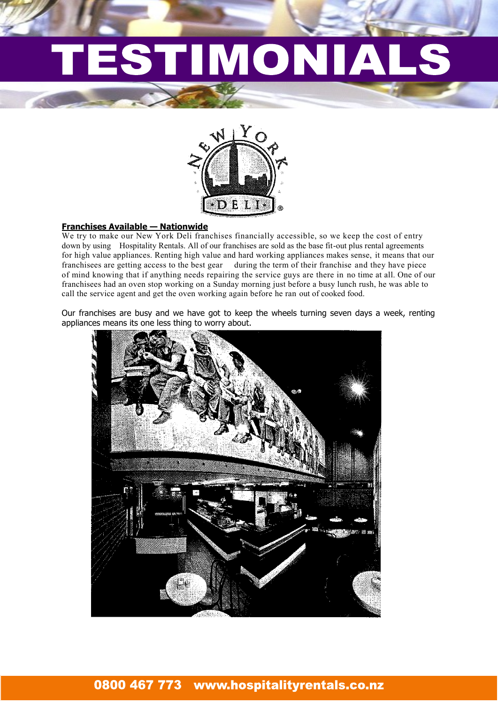# IMONIAL



#### **Franchises Available — Nationwide**

We try to make our New York Deli franchises financially accessible, so we keep the cost of entry down by using Hospitality Rentals. All of our franchises are sold as the base fit-out plus rental agreements for high value appliances. Renting high value and hard working appliances makes sense, it means that our franchisees are getting access to the best gear during the term of their franchise and they have piece of mind knowing that if anything needs repairing the service guys are there in no time at all. One of our franchisees had an oven stop working on a Sunday morning just before a busy lunch rush, he was able to call the service agent and get the oven working again before he ran out of cooked food.

Our franchises are busy and we have got to keep the wheels turning seven days a week, renting appliances means its one less thing to worry about.

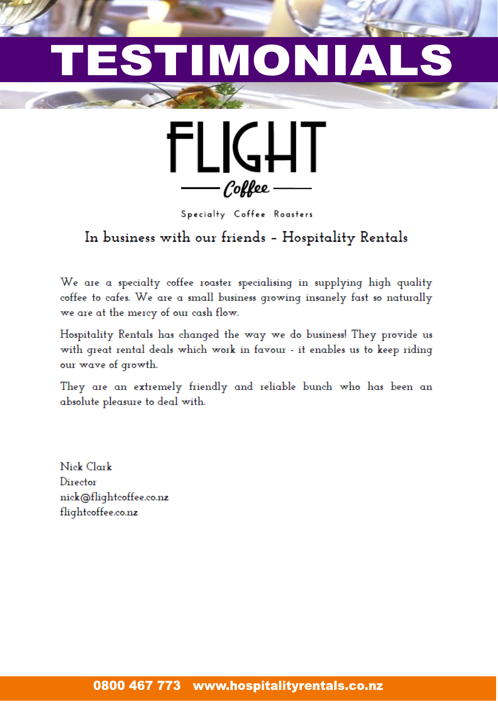## IMON **A**



Specialty Coffee Roasters

### In business with our friends - Hospitality Rentals

We are a specialty coffee roaster specialising in supplying high quality coffee to cafes. We are a small business growing insanely fast so naturally we are at the mercy of our cash flow.

Hospitality Rentals has changed the way we do business! They provide us with great rental deals which work in favour - it enables us to keep riding our wave of growth.

They are an extremely friendly and reliable bunch who has been an absolute pleasure to deal with.

Nick Clark Director nick@flightcoffee.co.nz flightcoffee.co.nz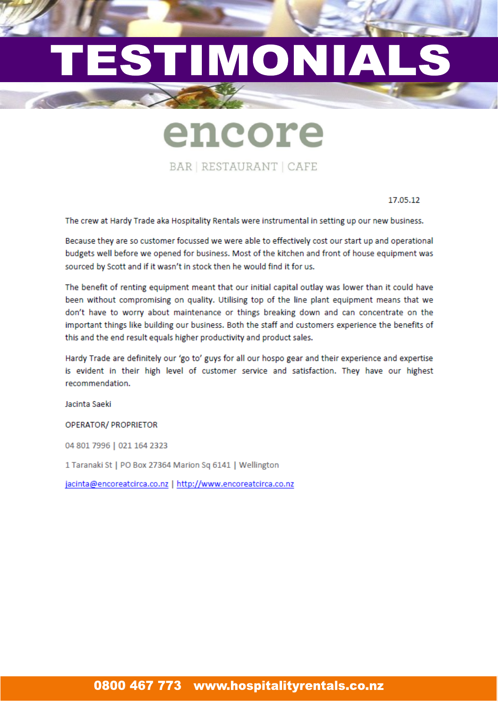## TIMONIAI ES

encore

BAR | RESTAURANT | CAFE

17.05.12

The crew at Hardy Trade aka Hospitality Rentals were instrumental in setting up our new business.

Because they are so customer focussed we were able to effectively cost our start up and operational budgets well before we opened for business. Most of the kitchen and front of house equipment was sourced by Scott and if it wasn't in stock then he would find it for us.

The benefit of renting equipment meant that our initial capital outlay was lower than it could have been without compromising on quality. Utilising top of the line plant equipment means that we don't have to worry about maintenance or things breaking down and can concentrate on the important things like building our business. Both the staff and customers experience the benefits of this and the end result equals higher productivity and product sales.

Hardy Trade are definitely our 'go to' guys for all our hospo gear and their experience and expertise is evident in their high level of customer service and satisfaction. They have our highest recommendation.

Jacinta Saeki

**OPERATOR/ PROPRIETOR** 

04 801 7996 | 021 164 2323

1 Taranaki St | PO Box 27364 Marion Sq 6141 | Wellington

jacinta@encoreatcirca.co.nz | http://www.encoreatcirca.co.nz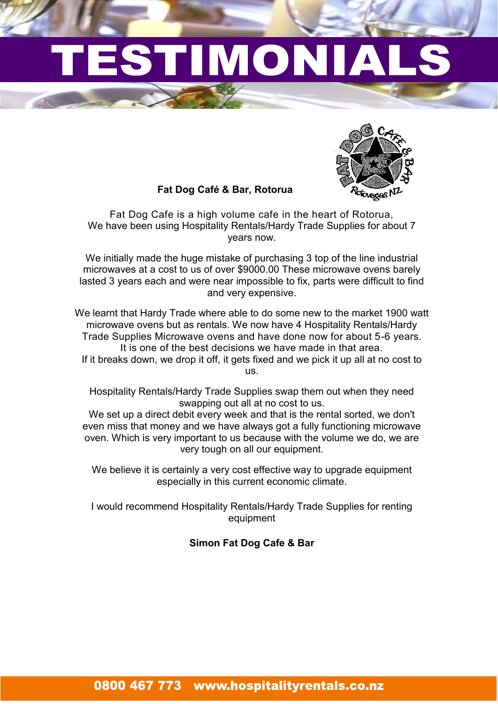# IMONI



#### **Fat Dog Café & Bar, Rotorua**

Fat Dog Cafe is a high volume cafe in the heart of Rotorua, We have been using Hospitality Rentals/Hardy Trade Supplies for about 7 years now.

We initially made the huge mistake of purchasing 3 top of the line industrial microwaves at a cost to us of over \$9000.00 These microwave ovens barely lasted 3 years each and were near impossible to fix, parts were difficult to find and very expensive.

We learnt that Hardy Trade where able to do some new to the market 1900 watt microwave ovens but as rentals. We now have 4 Hospitality Rentals/Hardy Trade Supplies Microwave ovens and have done now for about 5-6 years. It is one of the best decisions we have made in that area. If it breaks down, we drop it off, it gets fixed and we pick it up all at no cost to us.

Hospitality Rentals/Hardy Trade Supplies swap them out when they need swapping out all at no cost to us.

We set up a direct debit every week and that is the rental sorted, we don't even miss that money and we have always got a fully functioning microwave oven. Which is very important to us because with the volume we do, we are very tough on all our equipment.

We believe it is certainly a very cost effective way to upgrade equipment especially in this current economic climate.

I would recommend Hospitality Rentals/Hardy Trade Supplies for renting equipment

#### **Simon Fat Dog Cafe & Bar**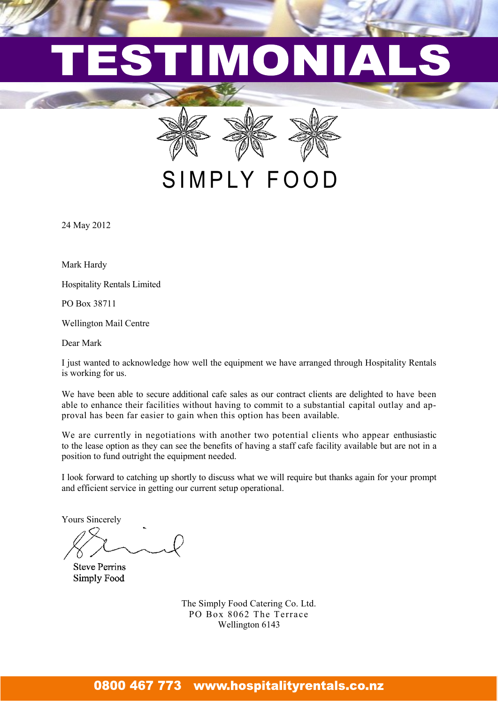# MON





SIMPLY FOOD

24 May 2012

Mark Hardy

Hospitality Rentals Limited

PO Box 38711

Wellington Mail Centre

Dear Mark

I just wanted to acknowledge how well the equipment we have arranged through Hospitality Rentals is working for us.

We have been able to secure additional cafe sales as our contract clients are delighted to have been able to enhance their facilities without having to commit to a substantial capital outlay and approval has been far easier to gain when this option has been available.

We are currently in negotiations with another two potential clients who appear enthusiastic to the lease option as they can see the benefits of having a staff cafe facility available but are not in a position to fund outright the equipment needed.

I look forward to catching up shortly to discuss what we will require but thanks again for your prompt and efficient service in getting our current setup operational.

Yours Sincerely

**Steve Perrins** Simply Food

The Simply Food Catering Co. Ltd. PO Box 8062 The Terrace Wellington 6143

### 0800 467 773 www.hospitalityrentals.co.nz